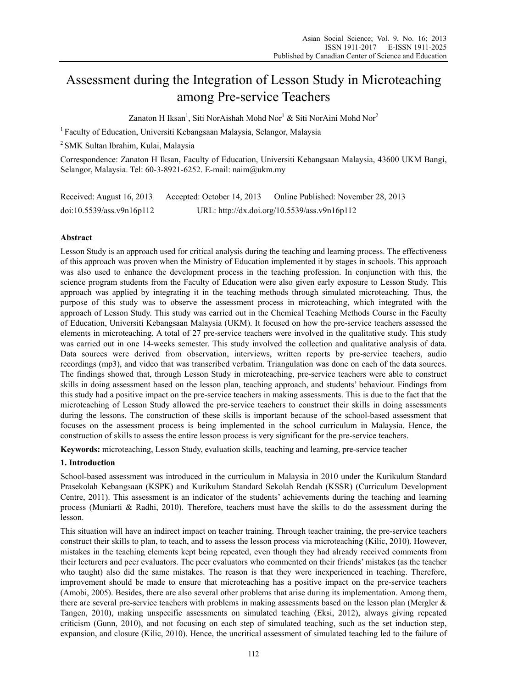# Assessment during the Integration of Lesson Study in Microteaching among Pre-service Teachers

Zanaton H Iksan<sup>1</sup>, Siti NorAishah Mohd Nor<sup>1</sup> & Siti NorAini Mohd Nor<sup>2</sup>

<sup>1</sup> Faculty of Education, Universiti Kebangsaan Malaysia, Selangor, Malaysia

2 SMK Sultan Ibrahim, Kulai, Malaysia

Correspondence: Zanaton H Iksan, Faculty of Education, Universiti Kebangsaan Malaysia, 43600 UKM Bangi, Selangor, Malaysia. Tel: 60-3-8921-6252. E-mail: naim@ukm.my

| Received: August 16, 2013 | Accepted: October 14, 2013                   | Online Published: November 28, 2013 |
|---------------------------|----------------------------------------------|-------------------------------------|
| doi:10.5539/ass.v9n16p112 | URL: http://dx.doi.org/10.5539/ass.v9n16p112 |                                     |

# **Abstract**

Lesson Study is an approach used for critical analysis during the teaching and learning process. The effectiveness of this approach was proven when the Ministry of Education implemented it by stages in schools. This approach was also used to enhance the development process in the teaching profession. In conjunction with this, the science program students from the Faculty of Education were also given early exposure to Lesson Study. This approach was applied by integrating it in the teaching methods through simulated microteaching. Thus, the purpose of this study was to observe the assessment process in microteaching, which integrated with the approach of Lesson Study. This study was carried out in the Chemical Teaching Methods Course in the Faculty of Education, Universiti Kebangsaan Malaysia (UKM). It focused on how the pre-service teachers assessed the elements in microteaching. A total of 27 pre-service teachers were involved in the qualitative study. This study was carried out in one 14-weeks semester. This study involved the collection and qualitative analysis of data. Data sources were derived from observation, interviews, written reports by pre-service teachers, audio recordings (mp3), and video that was transcribed verbatim. Triangulation was done on each of the data sources. The findings showed that, through Lesson Study in microteaching, pre-service teachers were able to construct skills in doing assessment based on the lesson plan, teaching approach, and students' behaviour. Findings from this study had a positive impact on the pre-service teachers in making assessments. This is due to the fact that the microteaching of Lesson Study allowed the pre-service teachers to construct their skills in doing assessments during the lessons. The construction of these skills is important because of the school-based assessment that focuses on the assessment process is being implemented in the school curriculum in Malaysia. Hence, the construction of skills to assess the entire lesson process is very significant for the pre-service teachers.

**Keywords:** microteaching, Lesson Study, evaluation skills, teaching and learning, pre-service teacher

## **1. Introduction**

School-based assessment was introduced in the curriculum in Malaysia in 2010 under the Kurikulum Standard Prasekolah Kebangsaan (KSPK) and Kurikulum Standard Sekolah Rendah (KSSR) (Curriculum Development Centre, 2011). This assessment is an indicator of the students' achievements during the teaching and learning process (Muniarti & Radhi, 2010). Therefore, teachers must have the skills to do the assessment during the lesson.

This situation will have an indirect impact on teacher training. Through teacher training, the pre-service teachers construct their skills to plan, to teach, and to assess the lesson process via microteaching (Kilic, 2010). However, mistakes in the teaching elements kept being repeated, even though they had already received comments from their lecturers and peer evaluators. The peer evaluators who commented on their friends' mistakes (as the teacher who taught) also did the same mistakes. The reason is that they were inexperienced in teaching. Therefore, improvement should be made to ensure that microteaching has a positive impact on the pre-service teachers (Amobi, 2005). Besides, there are also several other problems that arise during its implementation. Among them, there are several pre-service teachers with problems in making assessments based on the lesson plan (Mergler & Tangen, 2010), making unspecific assessments on simulated teaching (Eksi, 2012), always giving repeated criticism (Gunn, 2010), and not focusing on each step of simulated teaching, such as the set induction step, expansion, and closure (Kilic, 2010). Hence, the uncritical assessment of simulated teaching led to the failure of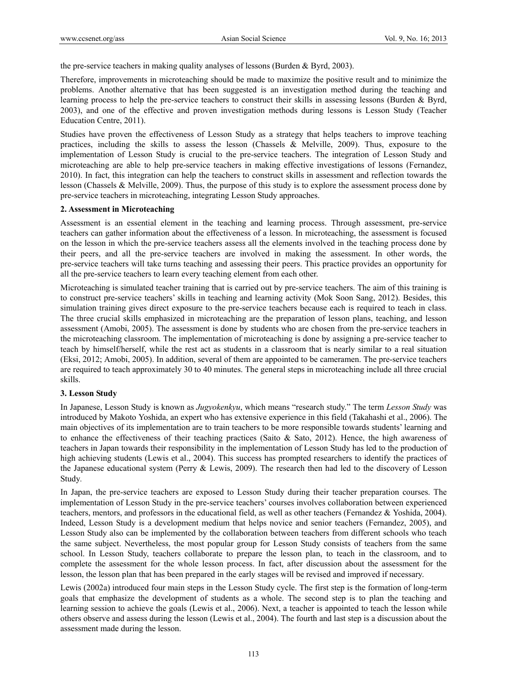the pre-service teachers in making quality analyses of lessons (Burden  $\&$  Byrd, 2003).

Therefore, improvements in microteaching should be made to maximize the positive result and to minimize the problems. Another alternative that has been suggested is an investigation method during the teaching and learning process to help the pre-service teachers to construct their skills in assessing lessons (Burden & Byrd, 2003), and one of the effective and proven investigation methods during lessons is Lesson Study (Teacher Education Centre, 2011).

Studies have proven the effectiveness of Lesson Study as a strategy that helps teachers to improve teaching practices, including the skills to assess the lesson (Chassels & Melville, 2009). Thus, exposure to the implementation of Lesson Study is crucial to the pre-service teachers. The integration of Lesson Study and microteaching are able to help pre-service teachers in making effective investigations of lessons (Fernandez, 2010). In fact, this integration can help the teachers to construct skills in assessment and reflection towards the lesson (Chassels & Melville, 2009). Thus, the purpose of this study is to explore the assessment process done by pre-service teachers in microteaching, integrating Lesson Study approaches.

## **2. Assessment in Microteaching**

Assessment is an essential element in the teaching and learning process. Through assessment, pre-service teachers can gather information about the effectiveness of a lesson. In microteaching, the assessment is focused on the lesson in which the pre-service teachers assess all the elements involved in the teaching process done by their peers, and all the pre-service teachers are involved in making the assessment. In other words, the pre-service teachers will take turns teaching and assessing their peers. This practice provides an opportunity for all the pre-service teachers to learn every teaching element from each other.

Microteaching is simulated teacher training that is carried out by pre-service teachers. The aim of this training is to construct pre-service teachers' skills in teaching and learning activity (Mok Soon Sang, 2012). Besides, this simulation training gives direct exposure to the pre-service teachers because each is required to teach in class. The three crucial skills emphasized in microteaching are the preparation of lesson plans, teaching, and lesson assessment (Amobi, 2005). The assessment is done by students who are chosen from the pre-service teachers in the microteaching classroom. The implementation of microteaching is done by assigning a pre-service teacher to teach by himself/herself, while the rest act as students in a classroom that is nearly similar to a real situation (Eksi, 2012; Amobi, 2005). In addition, several of them are appointed to be cameramen. The pre-service teachers are required to teach approximately 30 to 40 minutes. The general steps in microteaching include all three crucial skills.

## **3. Lesson Study**

In Japanese, Lesson Study is known as *Jugyokenkyu*, which means "research study." The term *Lesson Study* was introduced by Makoto Yoshida, an expert who has extensive experience in this field (Takahashi et al., 2006). The main objectives of its implementation are to train teachers to be more responsible towards students' learning and to enhance the effectiveness of their teaching practices (Saito & Sato, 2012). Hence, the high awareness of teachers in Japan towards their responsibility in the implementation of Lesson Study has led to the production of high achieving students (Lewis et al., 2004). This success has prompted researchers to identify the practices of the Japanese educational system (Perry & Lewis, 2009). The research then had led to the discovery of Lesson Study*.* 

In Japan, the pre-service teachers are exposed to Lesson Study during their teacher preparation courses. The implementation of Lesson Study in the pre-service teachers' courses involves collaboration between experienced teachers, mentors, and professors in the educational field, as well as other teachers (Fernandez & Yoshida, 2004). Indeed, Lesson Study is a development medium that helps novice and senior teachers (Fernandez, 2005), and Lesson Study also can be implemented by the collaboration between teachers from different schools who teach the same subject. Nevertheless, the most popular group for Lesson Study consists of teachers from the same school. In Lesson Study, teachers collaborate to prepare the lesson plan, to teach in the classroom, and to complete the assessment for the whole lesson process. In fact, after discussion about the assessment for the lesson, the lesson plan that has been prepared in the early stages will be revised and improved if necessary.

Lewis (2002a) introduced four main steps in the Lesson Study cycle. The first step is the formation of long-term goals that emphasize the development of students as a whole. The second step is to plan the teaching and learning session to achieve the goals (Lewis et al., 2006). Next, a teacher is appointed to teach the lesson while others observe and assess during the lesson (Lewis et al., 2004). The fourth and last step is a discussion about the assessment made during the lesson.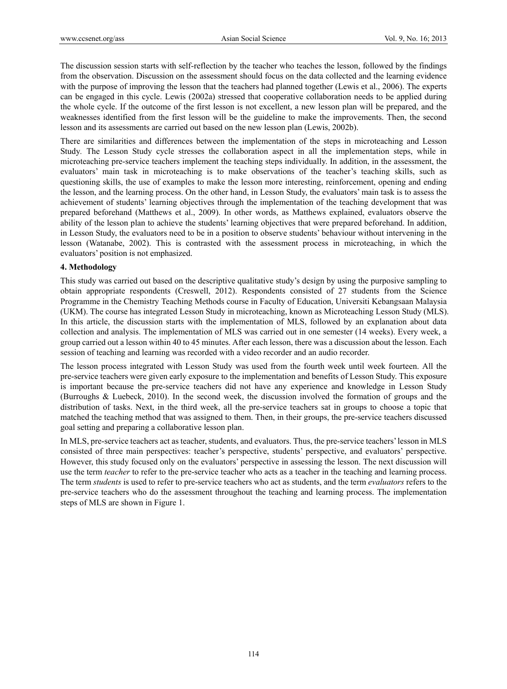The discussion session starts with self-reflection by the teacher who teaches the lesson, followed by the findings from the observation. Discussion on the assessment should focus on the data collected and the learning evidence with the purpose of improving the lesson that the teachers had planned together (Lewis et al., 2006). The experts can be engaged in this cycle. Lewis (2002a) stressed that cooperative collaboration needs to be applied during the whole cycle. If the outcome of the first lesson is not excellent, a new lesson plan will be prepared, and the weaknesses identified from the first lesson will be the guideline to make the improvements. Then, the second lesson and its assessments are carried out based on the new lesson plan (Lewis, 2002b).

There are similarities and differences between the implementation of the steps in microteaching and Lesson Study*.* The Lesson Study cycle stresses the collaboration aspect in all the implementation steps, while in microteaching pre-service teachers implement the teaching steps individually. In addition, in the assessment, the evaluators' main task in microteaching is to make observations of the teacher's teaching skills, such as questioning skills, the use of examples to make the lesson more interesting, reinforcement, opening and ending the lesson, and the learning process. On the other hand, in Lesson Study, the evaluators' main task is to assess the achievement of students' learning objectives through the implementation of the teaching development that was prepared beforehand (Matthews et al., 2009). In other words, as Matthews explained, evaluators observe the ability of the lesson plan to achieve the students' learning objectives that were prepared beforehand. In addition, in Lesson Study, the evaluators need to be in a position to observe students' behaviour without intervening in the lesson (Watanabe, 2002). This is contrasted with the assessment process in microteaching, in which the evaluators' position is not emphasized.

# **4. Methodology**

This study was carried out based on the descriptive qualitative study's design by using the purposive sampling to obtain appropriate respondents (Creswell, 2012). Respondents consisted of 27 students from the Science Programme in the Chemistry Teaching Methods course in Faculty of Education, Universiti Kebangsaan Malaysia (UKM). The course has integrated Lesson Study in microteaching, known as Microteaching Lesson Study (MLS). In this article, the discussion starts with the implementation of MLS, followed by an explanation about data collection and analysis. The implementation of MLS was carried out in one semester (14 weeks). Every week, a group carried out a lesson within 40 to 45 minutes. After each lesson, there was a discussion about the lesson. Each session of teaching and learning was recorded with a video recorder and an audio recorder.

The lesson process integrated with Lesson Study was used from the fourth week until week fourteen. All the pre-service teachers were given early exposure to the implementation and benefits of Lesson Study. This exposure is important because the pre-service teachers did not have any experience and knowledge in Lesson Study (Burroughs & Luebeck, 2010). In the second week, the discussion involved the formation of groups and the distribution of tasks. Next, in the third week, all the pre-service teachers sat in groups to choose a topic that matched the teaching method that was assigned to them. Then, in their groups, the pre-service teachers discussed goal setting and preparing a collaborative lesson plan.

In MLS, pre-service teachers act as teacher, students, and evaluators. Thus, the pre-service teachers' lesson in MLS consisted of three main perspectives: teacher's perspective, students' perspective, and evaluators' perspective. However, this study focused only on the evaluators' perspective in assessing the lesson. The next discussion will use the term *teacher* to refer to the pre-service teacher who acts as a teacher in the teaching and learning process. The term *students* is used to refer to pre-service teachers who act as students, and the term *evaluators* refers to the pre-service teachers who do the assessment throughout the teaching and learning process. The implementation steps of MLS are shown in Figure 1.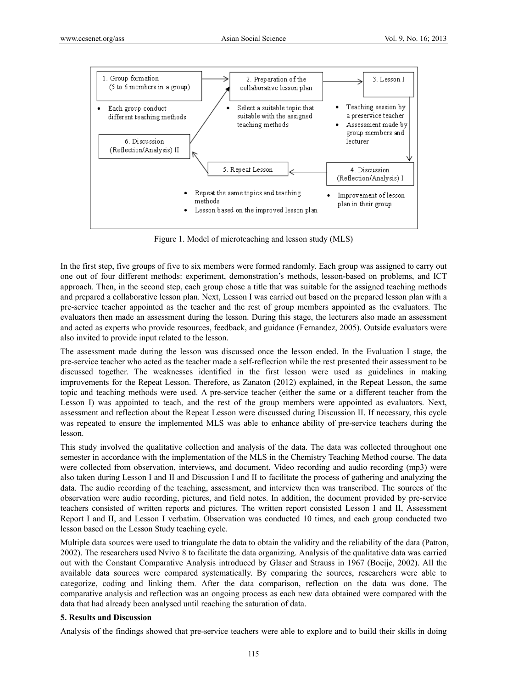

Figure 1. Model of microteaching and lesson study (MLS)

In the first step, five groups of five to six members were formed randomly. Each group was assigned to carry out one out of four different methods: experiment, demonstration's methods, lesson-based on problems, and ICT approach. Then, in the second step, each group chose a title that was suitable for the assigned teaching methods and prepared a collaborative lesson plan. Next, Lesson I was carried out based on the prepared lesson plan with a pre-service teacher appointed as the teacher and the rest of group members appointed as the evaluators. The evaluators then made an assessment during the lesson. During this stage, the lecturers also made an assessment and acted as experts who provide resources, feedback, and guidance (Fernandez, 2005). Outside evaluators were also invited to provide input related to the lesson.

The assessment made during the lesson was discussed once the lesson ended. In the Evaluation I stage, the pre-service teacher who acted as the teacher made a self-reflection while the rest presented their assessment to be discussed together. The weaknesses identified in the first lesson were used as guidelines in making improvements for the Repeat Lesson. Therefore, as Zanaton (2012) explained, in the Repeat Lesson, the same topic and teaching methods were used. A pre-service teacher (either the same or a different teacher from the Lesson I) was appointed to teach, and the rest of the group members were appointed as evaluators. Next, assessment and reflection about the Repeat Lesson were discussed during Discussion II. If necessary, this cycle was repeated to ensure the implemented MLS was able to enhance ability of pre-service teachers during the lesson.

This study involved the qualitative collection and analysis of the data. The data was collected throughout one semester in accordance with the implementation of the MLS in the Chemistry Teaching Method course. The data were collected from observation, interviews, and document. Video recording and audio recording (mp3) were also taken during Lesson I and II and Discussion I and II to facilitate the process of gathering and analyzing the data. The audio recording of the teaching, assessment, and interview then was transcribed. The sources of the observation were audio recording, pictures, and field notes. In addition, the document provided by pre-service teachers consisted of written reports and pictures. The written report consisted Lesson I and II, Assessment Report I and II, and Lesson I verbatim. Observation was conducted 10 times, and each group conducted two lesson based on the Lesson Study teaching cycle.

Multiple data sources were used to triangulate the data to obtain the validity and the reliability of the data (Patton, 2002). The researchers used Nvivo 8 to facilitate the data organizing. Analysis of the qualitative data was carried out with the Constant Comparative Analysis introduced by Glaser and Strauss in 1967 (Boeije, 2002). All the available data sources were compared systematically. By comparing the sources, researchers were able to categorize, coding and linking them. After the data comparison, reflection on the data was done. The comparative analysis and reflection was an ongoing process as each new data obtained were compared with the data that had already been analysed until reaching the saturation of data.

## **5. Results and Discussion**

Analysis of the findings showed that pre-service teachers were able to explore and to build their skills in doing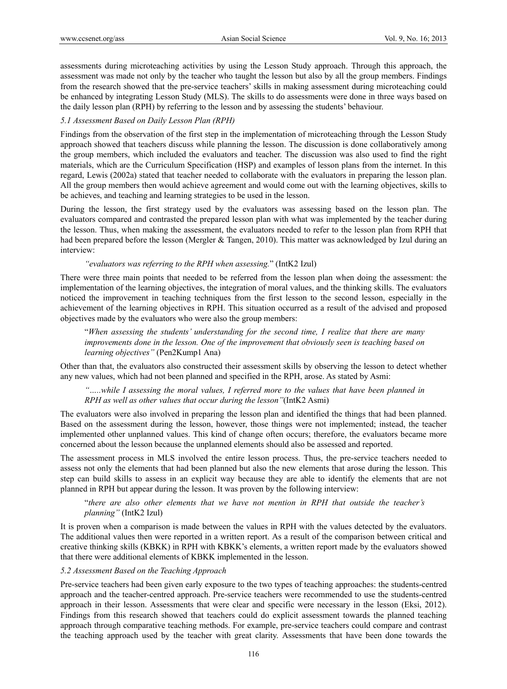assessments during microteaching activities by using the Lesson Study approach. Through this approach, the assessment was made not only by the teacher who taught the lesson but also by all the group members. Findings from the research showed that the pre-service teachers' skills in making assessment during microteaching could be enhanced by integrating Lesson Study (MLS). The skills to do assessments were done in three ways based on the daily lesson plan (RPH) by referring to the lesson and by assessing the students' behaviour.

## *5.1 Assessment Based on Daily Lesson Plan (RPH)*

Findings from the observation of the first step in the implementation of microteaching through the Lesson Study approach showed that teachers discuss while planning the lesson. The discussion is done collaboratively among the group members, which included the evaluators and teacher. The discussion was also used to find the right materials, which are the Curriculum Specification (HSP) and examples of lesson plans from the internet. In this regard, Lewis (2002a) stated that teacher needed to collaborate with the evaluators in preparing the lesson plan. All the group members then would achieve agreement and would come out with the learning objectives, skills to be achieves, and teaching and learning strategies to be used in the lesson.

During the lesson, the first strategy used by the evaluators was assessing based on the lesson plan. The evaluators compared and contrasted the prepared lesson plan with what was implemented by the teacher during the lesson. Thus, when making the assessment, the evaluators needed to refer to the lesson plan from RPH that had been prepared before the lesson (Mergler & Tangen, 2010). This matter was acknowledged by Izul during an interview:

## *"evaluators was referring to the RPH when assessing.*" (IntK2 Izul)

There were three main points that needed to be referred from the lesson plan when doing the assessment: the implementation of the learning objectives, the integration of moral values, and the thinking skills. The evaluators noticed the improvement in teaching techniques from the first lesson to the second lesson, especially in the achievement of the learning objectives in RPH. This situation occurred as a result of the advised and proposed objectives made by the evaluators who were also the group members:

 "*When assessing the students' understanding for the second time, I realize that there are many improvements done in the lesson. One of the improvement that obviously seen is teaching based on learning objectives"* (Pen2Kump1 Ana)

Other than that, the evaluators also constructed their assessment skills by observing the lesson to detect whether any new values, which had not been planned and specified in the RPH, arose. As stated by Asmi:

*"…..while I assessing the moral values, I referred more to the values that have been planned in RPH as well as other values that occur during the lesson"*(IntK2 Asmi)

The evaluators were also involved in preparing the lesson plan and identified the things that had been planned. Based on the assessment during the lesson, however, those things were not implemented; instead, the teacher implemented other unplanned values. This kind of change often occurs; therefore, the evaluators became more concerned about the lesson because the unplanned elements should also be assessed and reported.

The assessment process in MLS involved the entire lesson process. Thus, the pre-service teachers needed to assess not only the elements that had been planned but also the new elements that arose during the lesson. This step can build skills to assess in an explicit way because they are able to identify the elements that are not planned in RPH but appear during the lesson. It was proven by the following interview:

# "*there are also other elements that we have not mention in RPH that outside the teacher's planning"* (IntK2 Izul)

It is proven when a comparison is made between the values in RPH with the values detected by the evaluators. The additional values then were reported in a written report. As a result of the comparison between critical and creative thinking skills (KBKK) in RPH with KBKK's elements, a written report made by the evaluators showed that there were additional elements of KBKK implemented in the lesson.

## *5.2 Assessment Based on the Teaching Approach*

Pre-service teachers had been given early exposure to the two types of teaching approaches: the students-centred approach and the teacher-centred approach. Pre-service teachers were recommended to use the students-centred approach in their lesson. Assessments that were clear and specific were necessary in the lesson (Eksi, 2012). Findings from this research showed that teachers could do explicit assessment towards the planned teaching approach through comparative teaching methods. For example, pre-service teachers could compare and contrast the teaching approach used by the teacher with great clarity. Assessments that have been done towards the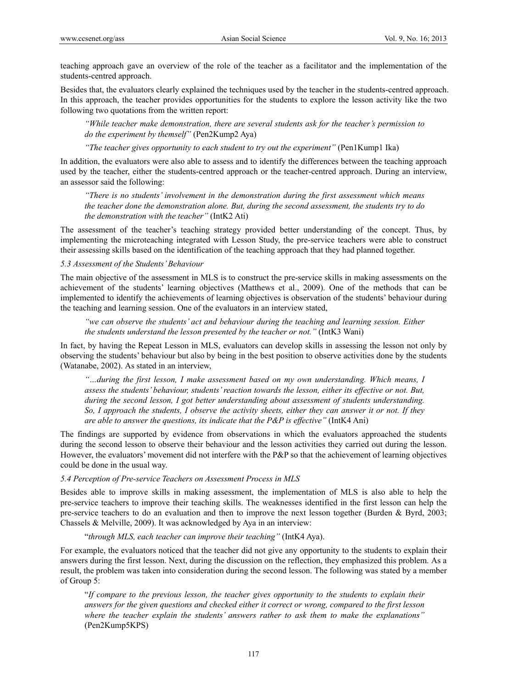teaching approach gave an overview of the role of the teacher as a facilitator and the implementation of the students-centred approach.

Besides that, the evaluators clearly explained the techniques used by the teacher in the students-centred approach. In this approach, the teacher provides opportunities for the students to explore the lesson activity like the two following two quotations from the written report:

*"While teacher make demonstration, there are several students ask for the teacher's permission to do the experiment by themself"* (Pen2Kump2 Aya)

*"The teacher gives opportunity to each student to try out the experiment"* (Pen1Kump1 Ika)

In addition, the evaluators were also able to assess and to identify the differences between the teaching approach used by the teacher, either the students-centred approach or the teacher-centred approach. During an interview, an assessor said the following:

*"There is no students' involvement in the demonstration during the first assessment which means the teacher done the demonstration alone. But, during the second assessment, the students try to do the demonstration with the teacher"* (IntK2 Ati)

The assessment of the teacher's teaching strategy provided better understanding of the concept. Thus, by implementing the microteaching integrated with Lesson Study, the pre-service teachers were able to construct their assessing skills based on the identification of the teaching approach that they had planned together.

## *5.3 Assessment of the Students' Behaviour*

The main objective of the assessment in MLS is to construct the pre-service skills in making assessments on the achievement of the students' learning objectives (Matthews et al., 2009). One of the methods that can be implemented to identify the achievements of learning objectives is observation of the students' behaviour during the teaching and learning session. One of the evaluators in an interview stated,

*"we can observe the students' act and behaviour during the teaching and learning session. Either the students understand the lesson presented by the teacher or not."* (IntK3 Wani)

In fact, by having the Repeat Lesson in MLS, evaluators can develop skills in assessing the lesson not only by observing the students' behaviour but also by being in the best position to observe activities done by the students (Watanabe, 2002). As stated in an interview,

*"…during the first lesson, I make assessment based on my own understanding. Which means, I assess the students' behaviour, students' reaction towards the lesson, either its effective or not. But, during the second lesson, I got better understanding about assessment of students understanding. So, I approach the students, I observe the activity sheets, either they can answer it or not. If they are able to answer the questions, its indicate that the P&P is effective"* (IntK4 Ani)

The findings are supported by evidence from observations in which the evaluators approached the students during the second lesson to observe their behaviour and the lesson activities they carried out during the lesson. However, the evaluators' movement did not interfere with the P&P so that the achievement of learning objectives could be done in the usual way.

# *5.4 Perception of Pre-service Teachers on Assessment Process in MLS*

Besides able to improve skills in making assessment, the implementation of MLS is also able to help the pre-service teachers to improve their teaching skills. The weaknesses identified in the first lesson can help the pre-service teachers to do an evaluation and then to improve the next lesson together (Burden & Byrd, 2003; Chassels & Melville, 2009). It was acknowledged by Aya in an interview:

"*through MLS, each teacher can improve their teaching"* (IntK4 Aya).

For example, the evaluators noticed that the teacher did not give any opportunity to the students to explain their answers during the first lesson. Next, during the discussion on the reflection, they emphasized this problem. As a result, the problem was taken into consideration during the second lesson. The following was stated by a member of Group 5:

"*If compare to the previous lesson, the teacher gives opportunity to the students to explain their answers for the given questions and checked either it correct or wrong, compared to the first lesson where the teacher explain the students' answers rather to ask them to make the explanations"*  (Pen2Kump5KPS)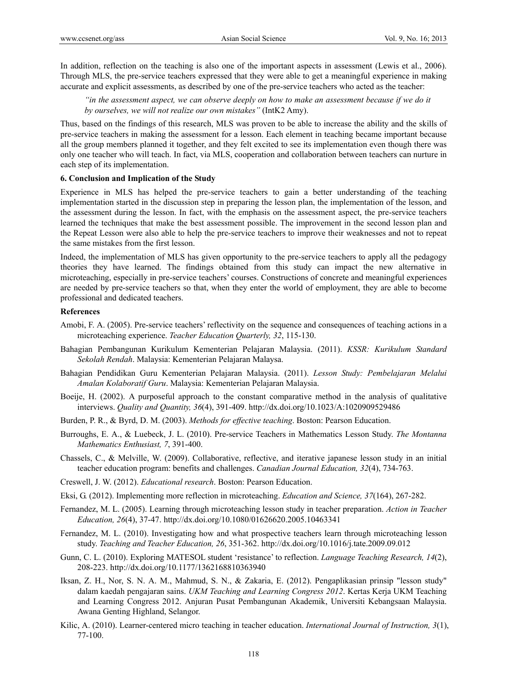In addition, reflection on the teaching is also one of the important aspects in assessment (Lewis et al., 2006). Through MLS, the pre-service teachers expressed that they were able to get a meaningful experience in making accurate and explicit assessments, as described by one of the pre-service teachers who acted as the teacher:

*"in the assessment aspect, we can observe deeply on how to make an assessment because if we do it by ourselves, we will not realize our own mistakes"* (IntK2 Amy).

Thus, based on the findings of this research, MLS was proven to be able to increase the ability and the skills of pre-service teachers in making the assessment for a lesson. Each element in teaching became important because all the group members planned it together, and they felt excited to see its implementation even though there was only one teacher who will teach. In fact, via MLS, cooperation and collaboration between teachers can nurture in each step of its implementation.

#### **6. Conclusion and Implication of the Study**

Experience in MLS has helped the pre-service teachers to gain a better understanding of the teaching implementation started in the discussion step in preparing the lesson plan, the implementation of the lesson, and the assessment during the lesson. In fact, with the emphasis on the assessment aspect, the pre-service teachers learned the techniques that make the best assessment possible. The improvement in the second lesson plan and the Repeat Lesson were also able to help the pre-service teachers to improve their weaknesses and not to repeat the same mistakes from the first lesson.

Indeed, the implementation of MLS has given opportunity to the pre-service teachers to apply all the pedagogy theories they have learned. The findings obtained from this study can impact the new alternative in microteaching, especially in pre-service teachers' courses. Constructions of concrete and meaningful experiences are needed by pre-service teachers so that, when they enter the world of employment, they are able to become professional and dedicated teachers.

#### **References**

- Amobi, F. A. (2005). Pre-service teachers' reflectivity on the sequence and consequences of teaching actions in a microteaching experience. *Teacher Education Quarterly, 32*, 115-130.
- Bahagian Pembangunan Kurikulum Kementerian Pelajaran Malaysia. (2011). *KSSR: Kurikulum Standard Sekolah Rendah*. Malaysia: Kementerian Pelajaran Malaysa.
- Bahagian Pendidikan Guru Kementerian Pelajaran Malaysia. (2011). *Lesson Study: Pembelajaran Melalui Amalan Kolaboratif Guru*. Malaysia: Kementerian Pelajaran Malaysia.
- Boeije, H. (2002). A purposeful approach to the constant comparative method in the analysis of qualitative interviews. *Quality and Quantity, 36*(4), 391-409. http://dx.doi.org/10.1023/A:1020909529486
- Burden, P. R., & Byrd, D. M. (2003). *Methods for effective teaching*. Boston: Pearson Education.
- Burroughs, E. A., & Luebeck, J. L. (2010). Pre-service Teachers in Mathematics Lesson Study. *The Montanna Mathematics Enthusiast, 7*, 391-400.
- Chassels, C., & Melville, W. (2009). Collaborative, reflective, and iterative japanese lesson study in an initial teacher education program: benefits and challenges. *Canadian Journal Education, 32*(4), 734-763.
- Creswell, J. W. (2012). *Educational research*. Boston: Pearson Education.
- Eksi, G. (2012). Implementing more reflection in microteaching. *Education and Science, 37*(164), 267-282.
- Fernandez, M. L. (2005). Learning through microteaching lesson study in teacher preparation. *Action in Teacher Education, 26*(4), 37-47. http://dx.doi.org/10.1080/01626620.2005.10463341
- Fernandez, M. L. (2010). Investigating how and what prospective teachers learn through microteaching lesson study. *Teaching and Teacher Education, 26*, 351-362. http://dx.doi.org/10.1016/j.tate.2009.09.012
- Gunn, C. L. (2010). Exploring MATESOL student 'resistance' to reflection. *Language Teaching Research, 14*(2), 208-223. http://dx.doi.org/10.1177/1362168810363940
- Iksan, Z. H., Nor, S. N. A. M., Mahmud, S. N., & Zakaria, E. (2012). Pengaplikasian prinsip "lesson study" dalam kaedah pengajaran sains. *UKM Teaching and Learning Congress 2012*. Kertas Kerja UKM Teaching and Learning Congress 2012. Anjuran Pusat Pembangunan Akademik, Universiti Kebangsaan Malaysia. Awana Genting Highland, Selangor.
- Kilic, A. (2010). Learner-centered micro teaching in teacher education. *International Journal of Instruction, 3*(1), 77-100.